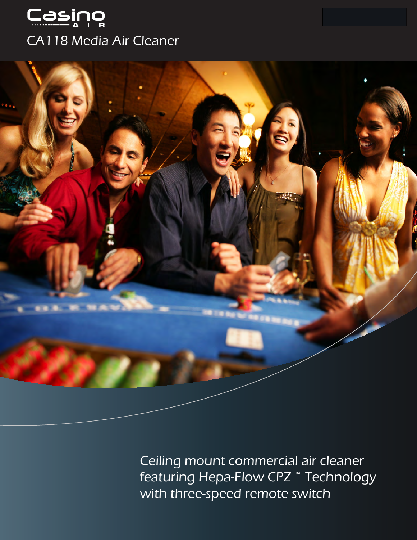



Ceiling mount commercial air cleaner featuring Hepa-Flow CPZ **™** Technology with three-speed remote switch